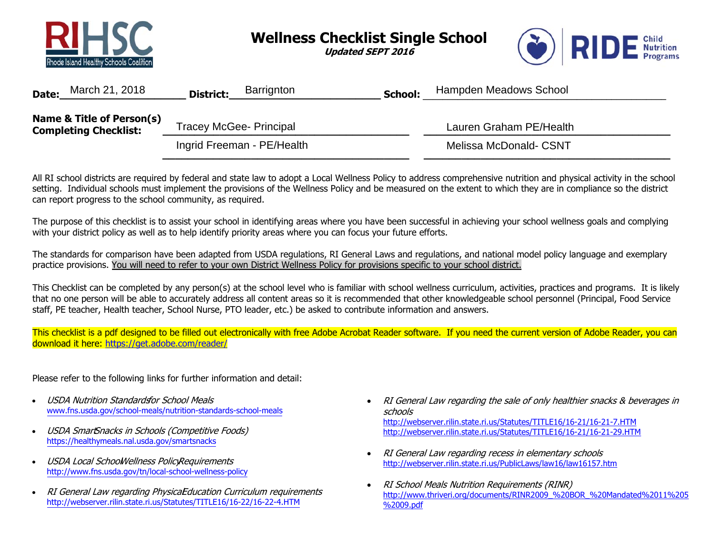

**Wellness Checklist Single School** 

**Updated SEPT 2016** 

**\_\_\_\_\_\_\_\_\_\_\_\_\_\_\_\_\_\_\_\_\_\_\_\_\_\_\_\_\_\_\_\_\_\_\_\_\_\_\_ \_\_\_\_\_\_\_\_\_\_\_\_\_\_\_\_\_\_\_\_\_\_\_\_\_\_\_\_\_\_\_\_\_\_\_\_\_\_\_** 



| March 21, 2018<br>Date:                                   | Barrignton<br><b>District:</b> | Hampden Meadows School<br>School: |
|-----------------------------------------------------------|--------------------------------|-----------------------------------|
| Name & Title of Person(s)<br><b>Completing Checklist:</b> | <b>Tracey McGee- Principal</b> | Lauren Graham PE/Health           |
|                                                           | Ingrid Freeman - PE/Health     | <b>Melissa McDonald- CSNT</b>     |

All RI school districts are required by federal and state law to adopt a Local Wellness Policy to address comprehensive nutrition and physical activity in the school setting. Individual schools must implement the provisions of the Wellness Policy and be measured on the extent to which they are in compliance so the district can report progress to the school community, as required.

The purpose of this checklist is to assist your school in identifying areas where you have been successful in achieving your school wellness goals and complying with your district policy as well as to help identify priority areas where you can focus your future efforts.

The standards for comparison have been adapted from USDA regulations, RI General Laws and regulations, and national model policy language and exemplary practice provisions. You will need to refer to your own District Wellness Policy for provisions specific to your school district.

This Checklist can be completed by any person(s) at the school level who is familiar with school wellness curriculum, activities, practices and programs. It is likely that no one person will be able to accurately address all content areas so it is recommended that other knowledgeable school personnel (Principal, Food Service staff, PE teacher, Health teacher, School Nurse, PTO leader, etc.) be asked to contribute information and answers.

This checklist is a pdf designed to be filled out electronically with free Adobe Acrobat Reader software. If you need the current version of Adobe Reader, you can download it here: https://get.adobe.com/reader/

Please refer to the following links for further information and detail:

- • USDA Nutrition Standardsfor School Meals www.fns.usda.gov/school-meals/nutrition-standards-school-meals
- •USDA SmartSnacks in Schools (Competitive Foods) https://healthymeals.nal.usda.gov/smartsnacks
- •USDA Local School Wellness Policy Requirements http://www.fns.usda.gov/tn/local-school-wellness-policy
- •RI General Law regarding PhysicaEducation Curriculum requirements http://webserver.rilin.state.ri.us/Statutes/TITLE16/16-22/16-22-4.HTM
- RI General Law regarding the sale of only healthier snacks & beverages in schoolshttp://webserver.rilin.state.ri.us/Statutes/TITLE16/16-21/16-21-7.HTM http://webserver.rilin.state.ri.us/Statutes/TITLE16/16-21/16-21-29.HTM
- $\bullet$  RI General Law regarding recess in elementary schools http://webserver.rilin.state.ri.us/PublicLaws/law16/law16157.htm
- $\bullet$  RI School Meals Nutrition Requirements (RINR) http://www.thriveri.org/documents/RINR2009\_%20BOR\_%20Mandated%2011%205 %2009.pdf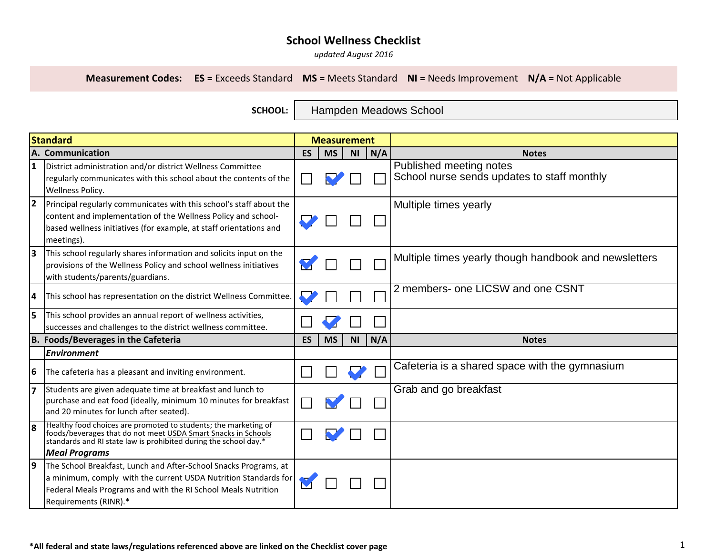*updated August 2016*

**Measurement Codes: ES** = Exceeds Standard **MS** = Meets Standard **NI** = Needs Improvement **N/A** = Not Applicable

**SCHOOL:** 

Hampden Meadows School

|    | <b>Standard</b>                                                                                                                                                                                                               | <b>Measurement</b> |           |           |     |                                                                        |
|----|-------------------------------------------------------------------------------------------------------------------------------------------------------------------------------------------------------------------------------|--------------------|-----------|-----------|-----|------------------------------------------------------------------------|
|    | A. Communication                                                                                                                                                                                                              | <b>ES</b>          | <b>MS</b> | <b>NI</b> | N/A | <b>Notes</b>                                                           |
| 1  | District administration and/or district Wellness Committee<br>regularly communicates with this school about the contents of the<br><b>Wellness Policy.</b>                                                                    |                    |           |           |     | Published meeting notes<br>School nurse sends updates to staff monthly |
| 2  | Principal regularly communicates with this school's staff about the<br>content and implementation of the Wellness Policy and school-<br>based wellness initiatives (for example, at staff orientations and<br>meetings).      |                    |           |           |     | Multiple times yearly                                                  |
| lз | This school regularly shares information and solicits input on the<br>provisions of the Wellness Policy and school wellness initiatives<br>with students/parents/guardians.                                                   |                    |           |           |     | Multiple times yearly though handbook and newsletters                  |
| 14 | This school has representation on the district Wellness Committee.                                                                                                                                                            |                    |           |           |     | 2 members- one LICSW and one CSNT                                      |
| 5  | This school provides an annual report of wellness activities,<br>successes and challenges to the district wellness committee.                                                                                                 |                    |           |           |     |                                                                        |
|    | B. Foods/Beverages in the Cafeteria                                                                                                                                                                                           | <b>ES</b>          | <b>MS</b> | <b>NI</b> | N/A | <b>Notes</b>                                                           |
|    | <b>Environment</b>                                                                                                                                                                                                            |                    |           |           |     |                                                                        |
| 6  | The cafeteria has a pleasant and inviting environment.                                                                                                                                                                        |                    |           |           |     | Cafeteria is a shared space with the gymnasium                         |
| 7  | Students are given adequate time at breakfast and lunch to<br>purchase and eat food (ideally, minimum 10 minutes for breakfast<br>and 20 minutes for lunch after seated).                                                     |                    |           |           |     | Grab and go breakfast                                                  |
| l8 | Healthy food choices are promoted to students; the marketing of<br>foods/beverages that do not meet USDA Smart Snacks in Schools<br>standards and RI state law is prohibited during the school day.*                          |                    |           |           |     |                                                                        |
|    | <b>Meal Programs</b>                                                                                                                                                                                                          |                    |           |           |     |                                                                        |
| 19 | The School Breakfast, Lunch and After-School Snacks Programs, at<br>a minimum, comply with the current USDA Nutrition Standards for<br>Federal Meals Programs and with the RI School Meals Nutrition<br>Requirements (RINR).* |                    |           |           |     |                                                                        |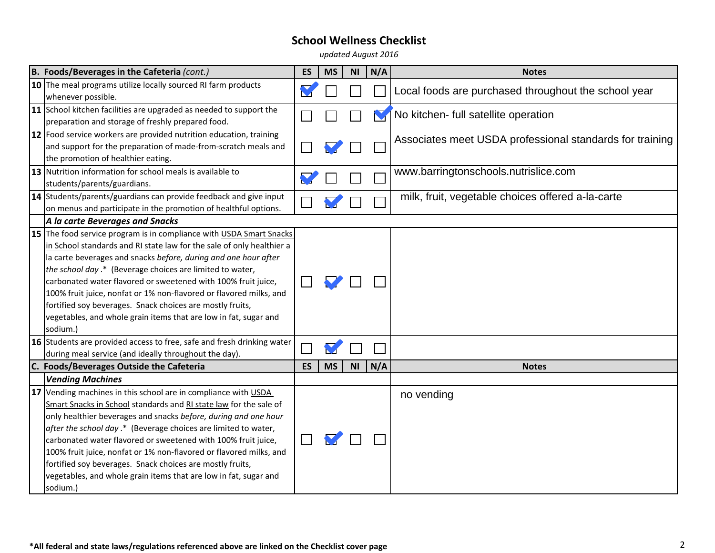*updated August 2016*

| B. Foods/Beverages in the Cafeteria (cont.)                                                                                                                                                                                                                                                                                                                                                                                                                                                                                                                                                                                                | <b>ES</b> | <b>MS</b> | N <sub>l</sub> | N/A | <b>Notes</b>                                             |
|--------------------------------------------------------------------------------------------------------------------------------------------------------------------------------------------------------------------------------------------------------------------------------------------------------------------------------------------------------------------------------------------------------------------------------------------------------------------------------------------------------------------------------------------------------------------------------------------------------------------------------------------|-----------|-----------|----------------|-----|----------------------------------------------------------|
| 10 The meal programs utilize locally sourced RI farm products<br>whenever possible.                                                                                                                                                                                                                                                                                                                                                                                                                                                                                                                                                        |           |           |                |     | Local foods are purchased throughout the school year     |
| 11 School kitchen facilities are upgraded as needed to support the<br>preparation and storage of freshly prepared food.                                                                                                                                                                                                                                                                                                                                                                                                                                                                                                                    |           |           |                |     | No kitchen- full satellite operation                     |
| 12 Food service workers are provided nutrition education, training<br>and support for the preparation of made-from-scratch meals and<br>the promotion of healthier eating.                                                                                                                                                                                                                                                                                                                                                                                                                                                                 |           |           |                |     | Associates meet USDA professional standards for training |
| 13 Nutrition information for school meals is available to<br>students/parents/guardians.                                                                                                                                                                                                                                                                                                                                                                                                                                                                                                                                                   |           |           |                |     | www.barringtonschools.nutrislice.com                     |
| 14 Students/parents/guardians can provide feedback and give input<br>on menus and participate in the promotion of healthful options.                                                                                                                                                                                                                                                                                                                                                                                                                                                                                                       |           |           |                |     | milk, fruit, vegetable choices offered a-la-carte        |
| A la carte Beverages and Snacks                                                                                                                                                                                                                                                                                                                                                                                                                                                                                                                                                                                                            |           |           |                |     |                                                          |
| 15 The food service program is in compliance with USDA Smart Snacks<br>in School standards and RI state law for the sale of only healthier a<br>la carte beverages and snacks before, during and one hour after<br>the school day .* (Beverage choices are limited to water,<br>carbonated water flavored or sweetened with 100% fruit juice,<br>100% fruit juice, nonfat or 1% non-flavored or flavored milks, and<br>fortified soy beverages. Snack choices are mostly fruits,<br>vegetables, and whole grain items that are low in fat, sugar and<br>sodium.)<br>16 Students are provided access to free, safe and fresh drinking water |           |           |                |     |                                                          |
| during meal service (and ideally throughout the day).<br>C. Foods/Beverages Outside the Cafeteria                                                                                                                                                                                                                                                                                                                                                                                                                                                                                                                                          | ES        | <b>MS</b> | <b>NI</b>      | N/A | <b>Notes</b>                                             |
| <b>Vending Machines</b>                                                                                                                                                                                                                                                                                                                                                                                                                                                                                                                                                                                                                    |           |           |                |     |                                                          |
| 17 Vending machines in this school are in compliance with USDA<br>Smart Snacks in School standards and RI state law for the sale of<br>only healthier beverages and snacks before, during and one hour<br>after the school day .* (Beverage choices are limited to water,<br>carbonated water flavored or sweetened with 100% fruit juice,<br>100% fruit juice, nonfat or 1% non-flavored or flavored milks, and<br>fortified soy beverages. Snack choices are mostly fruits,<br>vegetables, and whole grain items that are low in fat, sugar and<br>sodium.)                                                                              |           |           |                |     | no vending                                               |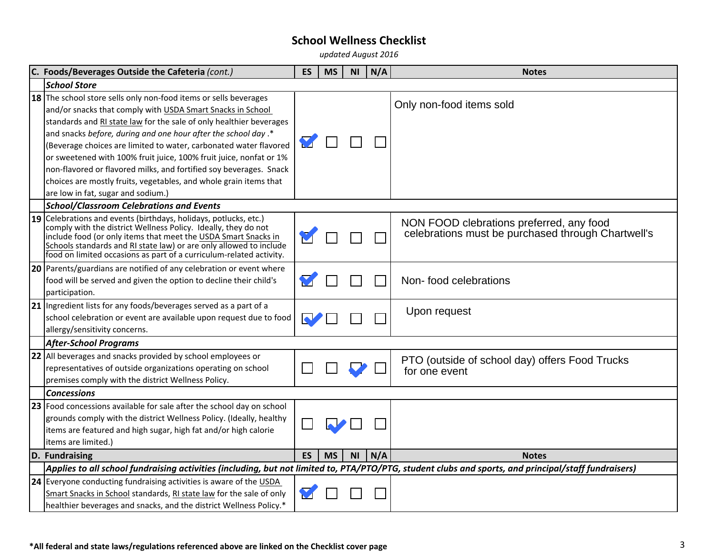*updated August 2016*

| C. Foods/Beverages Outside the Cafeteria (cont.)                                                                                                                                                                                                                                                                                                                                                                                                                                                                                                             | <b>ES</b>            | <b>MS</b> | <b>NI</b>      | N/A | <b>Notes</b>                                                                                   |
|--------------------------------------------------------------------------------------------------------------------------------------------------------------------------------------------------------------------------------------------------------------------------------------------------------------------------------------------------------------------------------------------------------------------------------------------------------------------------------------------------------------------------------------------------------------|----------------------|-----------|----------------|-----|------------------------------------------------------------------------------------------------|
| <b>School Store</b>                                                                                                                                                                                                                                                                                                                                                                                                                                                                                                                                          |                      |           |                |     |                                                                                                |
| 18 The school store sells only non-food items or sells beverages<br>and/or snacks that comply with USDA Smart Snacks in School<br>standards and RI state law for the sale of only healthier beverages<br>and snacks before, during and one hour after the school day.*<br>(Beverage choices are limited to water, carbonated water flavored<br>or sweetened with 100% fruit juice, 100% fruit juice, nonfat or 1%<br>non-flavored or flavored milks, and fortified soy beverages. Snack<br>choices are mostly fruits, vegetables, and whole grain items that | M                    |           |                |     | Only non-food items sold                                                                       |
| are low in fat, sugar and sodium.)                                                                                                                                                                                                                                                                                                                                                                                                                                                                                                                           |                      |           |                |     |                                                                                                |
| <b>School/Classroom Celebrations and Events</b><br>19 Celebrations and events (birthdays, holidays, potlucks, etc.)<br>comply with the district Wellness Policy. Ideally, they do not<br>include food (or only items that meet the USDA Smart Snacks in<br>Schools standards and RI state law) or are only allowed to include<br>food on limited occasions as part of a curriculum-related activity.                                                                                                                                                         |                      |           |                |     | NON FOOD clebrations preferred, any food<br>celebrations must be purchased through Chartwell's |
| 20 Parents/guardians are notified of any celebration or event where<br>food will be served and given the option to decline their child's<br>participation.                                                                                                                                                                                                                                                                                                                                                                                                   | $\blacktriangledown$ |           |                |     | Non-food celebrations                                                                          |
| 21 Ingredient lists for any foods/beverages served as a part of a<br>school celebration or event are available upon request due to food<br>allergy/sensitivity concerns.                                                                                                                                                                                                                                                                                                                                                                                     | $\blacktriangle$     |           |                |     | Upon request                                                                                   |
| <b>After-School Programs</b>                                                                                                                                                                                                                                                                                                                                                                                                                                                                                                                                 |                      |           |                |     |                                                                                                |
| 22 All beverages and snacks provided by school employees or<br>representatives of outside organizations operating on school<br>premises comply with the district Wellness Policy.                                                                                                                                                                                                                                                                                                                                                                            |                      |           |                |     | PTO (outside of school day) offers Food Trucks<br>for one event                                |
| <b>Concessions</b>                                                                                                                                                                                                                                                                                                                                                                                                                                                                                                                                           |                      |           |                |     |                                                                                                |
| 23 Food concessions available for sale after the school day on school<br>grounds comply with the district Wellness Policy. (Ideally, healthy<br>items are featured and high sugar, high fat and/or high calorie<br>items are limited.)                                                                                                                                                                                                                                                                                                                       |                      |           |                |     |                                                                                                |
| D. Fundraising                                                                                                                                                                                                                                                                                                                                                                                                                                                                                                                                               | <b>ES</b>            | <b>MS</b> | N <sub>1</sub> | N/A | <b>Notes</b>                                                                                   |
| Applies to all school fundraising activities (including, but not limited to, PTA/PTO/PTG, student clubs and sports, and principal/staff fundraisers)                                                                                                                                                                                                                                                                                                                                                                                                         |                      |           |                |     |                                                                                                |
| 24 Everyone conducting fundraising activities is aware of the USDA<br>Smart Snacks in School standards, RI state law for the sale of only<br>healthier beverages and snacks, and the district Wellness Policy.*                                                                                                                                                                                                                                                                                                                                              |                      |           |                |     |                                                                                                |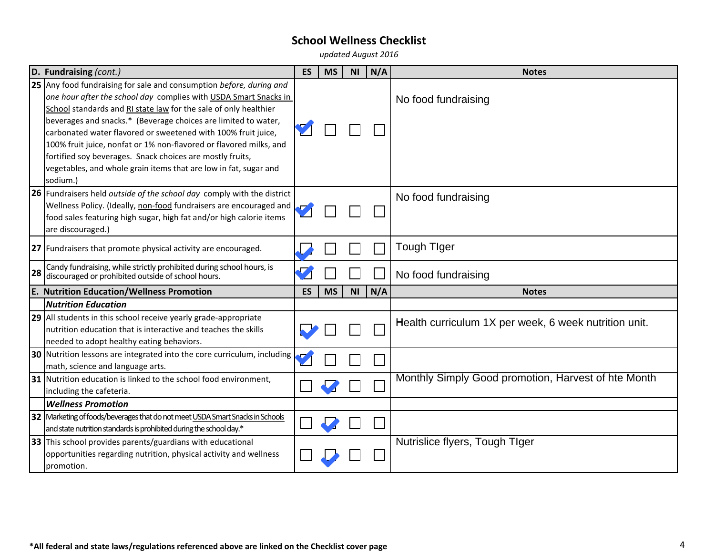*updated August 2016*

|    | D. Fundraising (cont.)                                                                                                                                                                                                                                                                                                                                                                                                                                                                                                                                            | <b>ES</b> | <b>MS</b> | <b>NI</b> | N/A | <b>Notes</b>                                          |
|----|-------------------------------------------------------------------------------------------------------------------------------------------------------------------------------------------------------------------------------------------------------------------------------------------------------------------------------------------------------------------------------------------------------------------------------------------------------------------------------------------------------------------------------------------------------------------|-----------|-----------|-----------|-----|-------------------------------------------------------|
|    | 25 Any food fundraising for sale and consumption before, during and<br>one hour after the school day complies with USDA Smart Snacks in<br>School standards and RI state law for the sale of only healthier<br>beverages and snacks.* (Beverage choices are limited to water,<br>carbonated water flavored or sweetened with 100% fruit juice,<br>100% fruit juice, nonfat or 1% non-flavored or flavored milks, and<br>fortified soy beverages. Snack choices are mostly fruits,<br>vegetables, and whole grain items that are low in fat, sugar and<br>sodium.) |           |           |           |     | No food fundraising                                   |
|    | <b>26</b> Fundraisers held outside of the school day comply with the district<br>Wellness Policy. (Ideally, non-food fundraisers are encouraged and<br>food sales featuring high sugar, high fat and/or high calorie items<br>are discouraged.)                                                                                                                                                                                                                                                                                                                   |           |           |           |     | No food fundraising                                   |
|    | 27 Fundraisers that promote physical activity are encouraged.                                                                                                                                                                                                                                                                                                                                                                                                                                                                                                     |           |           |           |     | <b>Tough Tiger</b>                                    |
| 28 | Candy fundraising, while strictly prohibited during school hours, is discouraged or prohibited outside of school hours.                                                                                                                                                                                                                                                                                                                                                                                                                                           |           |           |           |     | No food fundraising                                   |
|    | <b>E. Nutrition Education/Wellness Promotion</b>                                                                                                                                                                                                                                                                                                                                                                                                                                                                                                                  | <b>ES</b> | <b>MS</b> | <b>NI</b> | N/A | <b>Notes</b>                                          |
|    | <b>Nutrition Education</b>                                                                                                                                                                                                                                                                                                                                                                                                                                                                                                                                        |           |           |           |     |                                                       |
|    | 29 All students in this school receive yearly grade-appropriate<br>nutrition education that is interactive and teaches the skills<br>needed to adopt healthy eating behaviors.                                                                                                                                                                                                                                                                                                                                                                                    |           |           |           |     | Health curriculum 1X per week, 6 week nutrition unit. |
|    | 30 Nutrition lessons are integrated into the core curriculum, including<br>math, science and language arts.                                                                                                                                                                                                                                                                                                                                                                                                                                                       |           |           |           |     |                                                       |
|    | 31 Nutrition education is linked to the school food environment,<br>including the cafeteria.                                                                                                                                                                                                                                                                                                                                                                                                                                                                      |           |           |           |     | Monthly Simply Good promotion, Harvest of hte Month   |
|    | <b>Wellness Promotion</b>                                                                                                                                                                                                                                                                                                                                                                                                                                                                                                                                         |           |           |           |     |                                                       |
|    | 32 Marketing of foods/beverages that do not meet USDA Smart Snacks in Schools<br>and state nutrition standards is prohibited during the school day.*                                                                                                                                                                                                                                                                                                                                                                                                              |           |           |           |     |                                                       |
|    | 33 This school provides parents/guardians with educational<br>opportunities regarding nutrition, physical activity and wellness<br>promotion.                                                                                                                                                                                                                                                                                                                                                                                                                     |           |           |           |     | Nutrislice flyers, Tough TIger                        |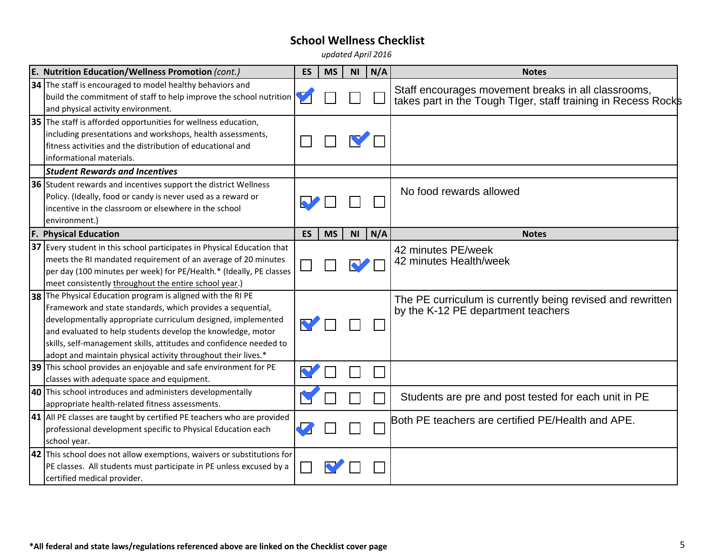*updated April 2016*

| E. Nutrition Education/Wellness Promotion (cont.)                                                                                                                                                                                                                                                                                                                                                | <b>ES</b>            | <b>MS</b> | N <sub>l</sub> | N/A | <b>Notes</b>                                                                                                         |
|--------------------------------------------------------------------------------------------------------------------------------------------------------------------------------------------------------------------------------------------------------------------------------------------------------------------------------------------------------------------------------------------------|----------------------|-----------|----------------|-----|----------------------------------------------------------------------------------------------------------------------|
| 34 The staff is encouraged to model healthy behaviors and<br>build the commitment of staff to help improve the school nutrition<br>and physical activity environment.                                                                                                                                                                                                                            |                      |           |                |     | Staff encourages movement breaks in all classrooms,<br>takes part in the Tough TIger, staff training in Recess Rocks |
| 35 The staff is afforded opportunities for wellness education,<br>including presentations and workshops, health assessments,<br>fitness activities and the distribution of educational and<br>Informational materials.                                                                                                                                                                           |                      |           |                |     |                                                                                                                      |
| <b>Student Rewards and Incentives</b>                                                                                                                                                                                                                                                                                                                                                            |                      |           |                |     |                                                                                                                      |
| 36 Student rewards and incentives support the district Wellness<br>Policy. (Ideally, food or candy is never used as a reward or<br>incentive in the classroom or elsewhere in the school<br>environment.)                                                                                                                                                                                        | $\blacktriangledown$ |           |                |     | No food rewards allowed                                                                                              |
| <b>F. Physical Education</b>                                                                                                                                                                                                                                                                                                                                                                     | <b>ES</b>            | <b>MS</b> | <b>NI</b>      | N/A | <b>Notes</b>                                                                                                         |
| 37 Every student in this school participates in Physical Education that<br>meets the RI mandated requirement of an average of 20 minutes<br>per day (100 minutes per week) for PE/Health.* (Ideally, PE classes<br>meet consistently throughout the entire school year.)                                                                                                                         |                      |           |                |     | 42 minutes PE/week<br>42 minutes Health/week                                                                         |
| 38 The Physical Education program is aligned with the RI PE<br>Framework and state standards, which provides a sequential,<br>developmentally appropriate curriculum designed, implemented<br>and evaluated to help students develop the knowledge, motor<br>skills, self-management skills, attitudes and confidence needed to<br>adopt and maintain physical activity throughout their lives.* | V                    |           |                |     | The PE curriculum is currently being revised and rewritten<br>by the K-12 PE department teachers                     |
| 39 This school provides an enjoyable and safe environment for PE<br>classes with adequate space and equipment.                                                                                                                                                                                                                                                                                   |                      |           |                |     |                                                                                                                      |
| <b>40</b> This school introduces and administers developmentally<br>appropriate health-related fitness assessments.                                                                                                                                                                                                                                                                              |                      |           |                |     | Students are pre and post tested for each unit in PE                                                                 |
| 41 All PE classes are taught by certified PE teachers who are provided<br>professional development specific to Physical Education each<br>school year.                                                                                                                                                                                                                                           |                      |           |                |     | Both PE teachers are certified PE/Health and APE.                                                                    |
| 42 This school does not allow exemptions, waivers or substitutions for<br>PE classes. All students must participate in PE unless excused by a<br>certified medical provider.                                                                                                                                                                                                                     |                      |           |                |     |                                                                                                                      |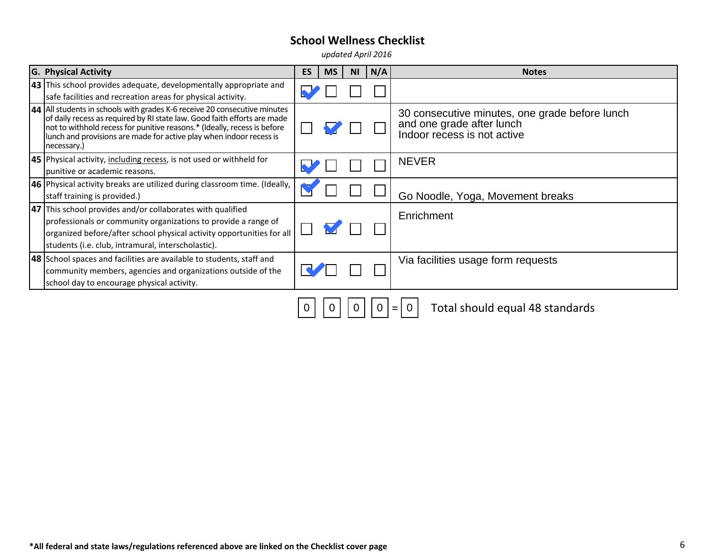*updated April 2016*

| <b>G. Physical Activity</b>                                                                                                                                                                                                                                                                                             | <b>ES</b> | <b>MS</b> | <b>NI</b> | N/A | <b>Notes</b>                                                                                               |
|-------------------------------------------------------------------------------------------------------------------------------------------------------------------------------------------------------------------------------------------------------------------------------------------------------------------------|-----------|-----------|-----------|-----|------------------------------------------------------------------------------------------------------------|
| 43 This school provides adequate, developmentally appropriate and<br>safe facilities and recreation areas for physical activity.                                                                                                                                                                                        |           |           |           |     |                                                                                                            |
| 44 All students in schools with grades K-6 receive 20 consecutive minutes<br>of daily recess as required by RI state law. Good faith efforts are made<br>not to withhold recess for punitive reasons.* (Ideally, recess is before<br>lunch and provisions are made for active play when indoor recess is<br>necessary.) |           |           |           |     | 30 consecutive minutes, one grade before lunch<br>and one grade after lunch<br>Indoor recess is not active |
| 45 Physical activity, including recess, is not used or withheld for<br>punitive or academic reasons.                                                                                                                                                                                                                    |           |           |           |     | <b>NEVER</b>                                                                                               |
| <b>46</b> Physical activity breaks are utilized during classroom time. (Ideally,<br>staff training is provided.)                                                                                                                                                                                                        |           |           |           |     | Go Noodle, Yoga, Movement breaks                                                                           |
| 47 This school provides and/or collaborates with qualified<br>professionals or community organizations to provide a range of<br>organized before/after school physical activity opportunities for all<br>students (i.e. club, intramural, interscholastic).                                                             |           |           |           |     | Enrichment                                                                                                 |
| 48 School spaces and facilities are available to students, staff and<br>community members, agencies and organizations outside of the<br>school day to encourage physical activity.                                                                                                                                      |           |           |           |     | Via facilities usage form requests                                                                         |
|                                                                                                                                                                                                                                                                                                                         | 0         |           |           | 0   | Total should equal 48 standards<br>$=$                                                                     |